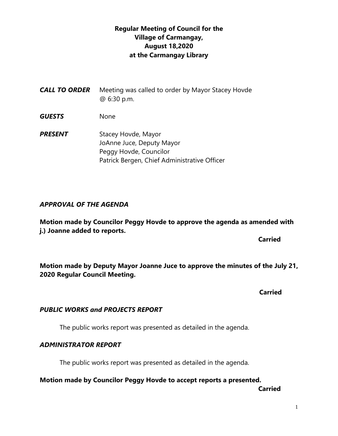# **Regular Meeting of Council for the Village of Carmangay, August 18,2020 at the Carmangay Library**

| CALL TO ORDER | Meeting was called to order by Mayor Stacey Hovde<br>@ 6:30 p.m. |
|---------------|------------------------------------------------------------------|
| GUESTS        | None                                                             |
| PRESENT       | Stacey Hovde, Mayor<br>JoAnne Juce Deputy Mayor                  |

JoAnne Juce, Deputy Mayor Peggy Hovde, Councilor Patrick Bergen, Chief Administrative Officer

## *APPROVAL OF THE AGENDA*

**Motion made by Councilor Peggy Hovde to approve the agenda as amended with j.) Joanne added to reports.**

**Carried** 

**Motion made by Deputy Mayor Joanne Juce to approve the minutes of the July 21, 2020 Regular Council Meeting.**

 **Carried**

## *PUBLIC WORKS and PROJECTS REPORT*

The public works report was presented as detailed in the agenda.

# *ADMINISTRATOR REPORT*

The public works report was presented as detailed in the agenda.

# **Motion made by Councilor Peggy Hovde to accept reports a presented.**

**Carried**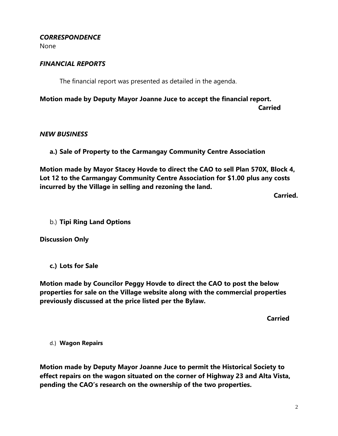#### *CORRESPONDENCE*

None

#### *FINANCIAL REPORTS*

The financial report was presented as detailed in the agenda.

**Motion made by Deputy Mayor Joanne Juce to accept the financial report. Carried**

#### *NEW BUSINESS*

**a.) Sale of Property to the Carmangay Community Centre Association**

**Motion made by Mayor Stacey Hovde to direct the CAO to sell Plan 570X, Block 4, Lot 12 to the Carmangay Community Centre Association for \$1.00 plus any costs incurred by the Village in selling and rezoning the land.**

**Carried.**

b.) **Tipi Ring Land Options**

**Discussion Only**

**c.) Lots for Sale**

**Motion made by Councilor Peggy Hovde to direct the CAO to post the below properties for sale on the Village website along with the commercial properties previously discussed at the price listed per the Bylaw.**

**Carried**

d.) **Wagon Repairs**

**Motion made by Deputy Mayor Joanne Juce to permit the Historical Society to effect repairs on the wagon situated on the corner of Highway 23 and Alta Vista, pending the CAO's research on the ownership of the two properties.**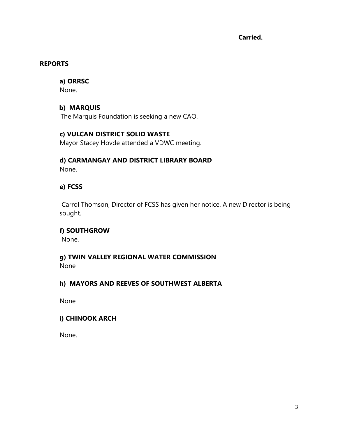**Carried.**

#### **REPORTS**

# **a) ORRSC**

None.

# **b) MARQUIS**

The Marquis Foundation is seeking a new CAO.

# **c) VULCAN DISTRICT SOLID WASTE**

Mayor Stacey Hovde attended a VDWC meeting.

#### **d) CARMANGAY AND DISTRICT LIBRARY BOARD** None.

# **e) FCSS**

Carrol Thomson, Director of FCSS has given her notice. A new Director is being sought.

## **f) SOUTHGROW**

None.

# **g) TWIN VALLEY REGIONAL WATER COMMISSION**

None

# **h) MAYORS AND REEVES OF SOUTHWEST ALBERTA**

None

## **i) CHINOOK ARCH**

None.